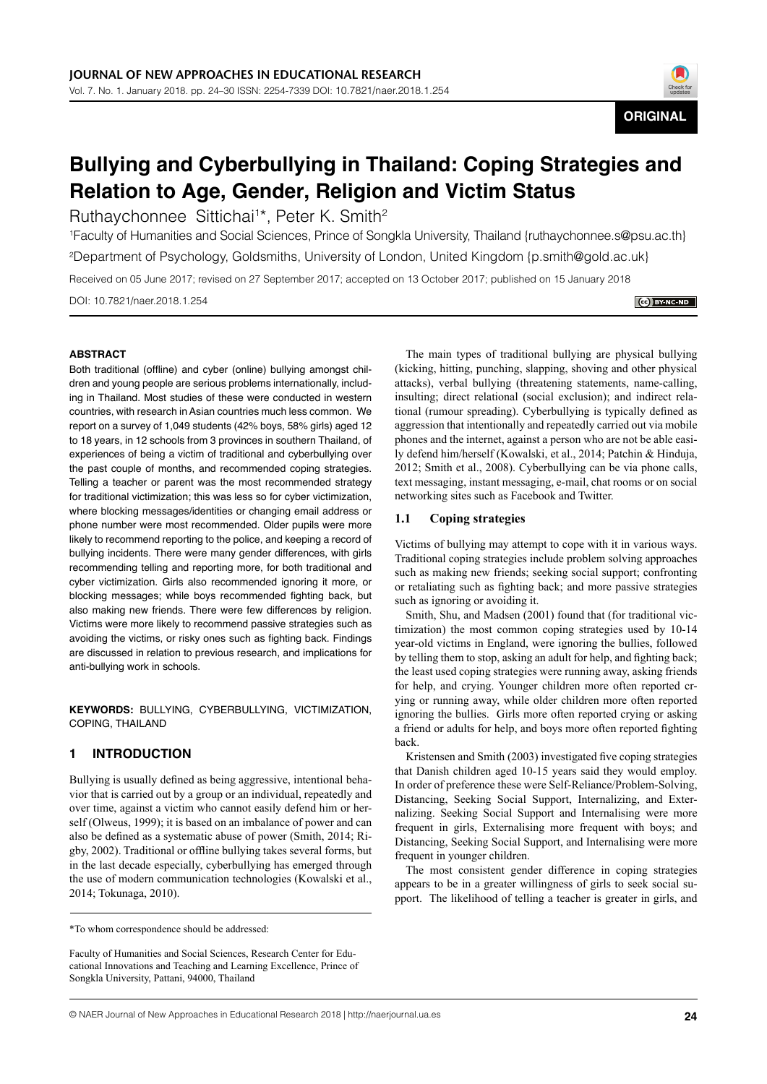

# **Bullying and Cyberbullying in Thailand: Coping Strategies and Relation to Age, Gender, Religion and Victim Status**

Ruthaychonnee Sittichai<sup>1\*</sup>, Peter K. Smith<sup>2</sup>

1 Faculty of Humanities and Social Sciences, Prince of Songkla University, Thailand {ruthaychonnee.s@psu.ac.th} 2 Department of Psychology, Goldsmiths, University of London, United Kingdom {p.smith@gold.ac.uk}

Received on 05 June 2017; revised on 27 September 2017; accepted on 13 October 2017; published on 15 January 2018

DOI: 10.7821/naer.2018.1.254

CC BY-NC-ND

### **ABSTRACT**

Both traditional (offline) and cyber (online) bullying amongst children and young people are serious problems internationally, including in Thailand. Most studies of these were conducted in western countries, with research in Asian countries much less common. We report on a survey of 1,049 students (42% boys, 58% girls) aged 12 to 18 years, in 12 schools from 3 provinces in southern Thailand, of experiences of being a victim of traditional and cyberbullying over the past couple of months, and recommended coping strategies. Telling a teacher or parent was the most recommended strategy for traditional victimization; this was less so for cyber victimization, where blocking messages/identities or changing email address or phone number were most recommended. Older pupils were more likely to recommend reporting to the police, and keeping a record of bullying incidents. There were many gender differences, with girls recommending telling and reporting more, for both traditional and cyber victimization. Girls also recommended ignoring it more, or blocking messages; while boys recommended fighting back, but also making new friends. There were few differences by religion. Victims were more likely to recommend passive strategies such as avoiding the victims, or risky ones such as fighting back. Findings are discussed in relation to previous research, and implications for anti-bullying work in schools.

**KEYWORDS:** BULLYING, CYBERBULLYING, VICTIMIZATION, COPING, THAILAND

# **1 INTRODUCTION**

Bullying is usually defined as being aggressive, intentional behavior that is carried out by a group or an individual, repeatedly and over time, against a victim who cannot easily defend him or herself (Olweus, 1999); it is based on an imbalance of power and can also be defined as a systematic abuse of power (Smith, 2014; Rigby, 2002). Traditional or offline bullying takes several forms, but in the last decade especially, cyberbullying has emerged through the use of modern communication technologies (Kowalski et al., 2014; Tokunaga, 2010).

\*To whom correspondence should be addressed:

Faculty of Humanities and Social Sciences, Research Center for Educational Innovations and Teaching and Learning Excellence, Prince of Songkla University, Pattani, 94000, Thailand

The main types of traditional bullying are physical bullying (kicking, hitting, punching, slapping, shoving and other physical attacks), verbal bullying (threatening statements, name-calling, insulting; direct relational (social exclusion); and indirect relational (rumour spreading). Cyberbullying is typically defined as aggression that intentionally and repeatedly carried out via mobile phones and the internet, against a person who are not be able easily defend him/herself (Kowalski, et al., 2014; Patchin & Hinduja, 2012; Smith et al., 2008). Cyberbullying can be via phone calls, text messaging, instant messaging, e-mail, chat rooms or on social networking sites such as Facebook and Twitter.

#### **1.1 Coping strategies**

Victims of bullying may attempt to cope with it in various ways. Traditional coping strategies include problem solving approaches such as making new friends; seeking social support; confronting or retaliating such as fighting back; and more passive strategies such as ignoring or avoiding it.

Smith, Shu, and Madsen (2001) found that (for traditional victimization) the most common coping strategies used by 10-14 year-old victims in England, were ignoring the bullies, followed by telling them to stop, asking an adult for help, and fighting back; the least used coping strategies were running away, asking friends for help, and crying. Younger children more often reported crying or running away, while older children more often reported ignoring the bullies. Girls more often reported crying or asking a friend or adults for help, and boys more often reported fighting back.

Kristensen and Smith (2003) investigated five coping strategies that Danish children aged 10-15 years said they would employ. In order of preference these were Self-Reliance/Problem-Solving, Distancing, Seeking Social Support, Internalizing, and Externalizing. Seeking Social Support and Internalising were more frequent in girls, Externalising more frequent with boys; and Distancing, Seeking Social Support, and Internalising were more frequent in younger children.

The most consistent gender difference in coping strategies appears to be in a greater willingness of girls to seek social support. The likelihood of telling a teacher is greater in girls, and

<sup>©</sup> NAER Journal of New Approaches in Educational Research 2018 | http://naerjournal.ua.es **24**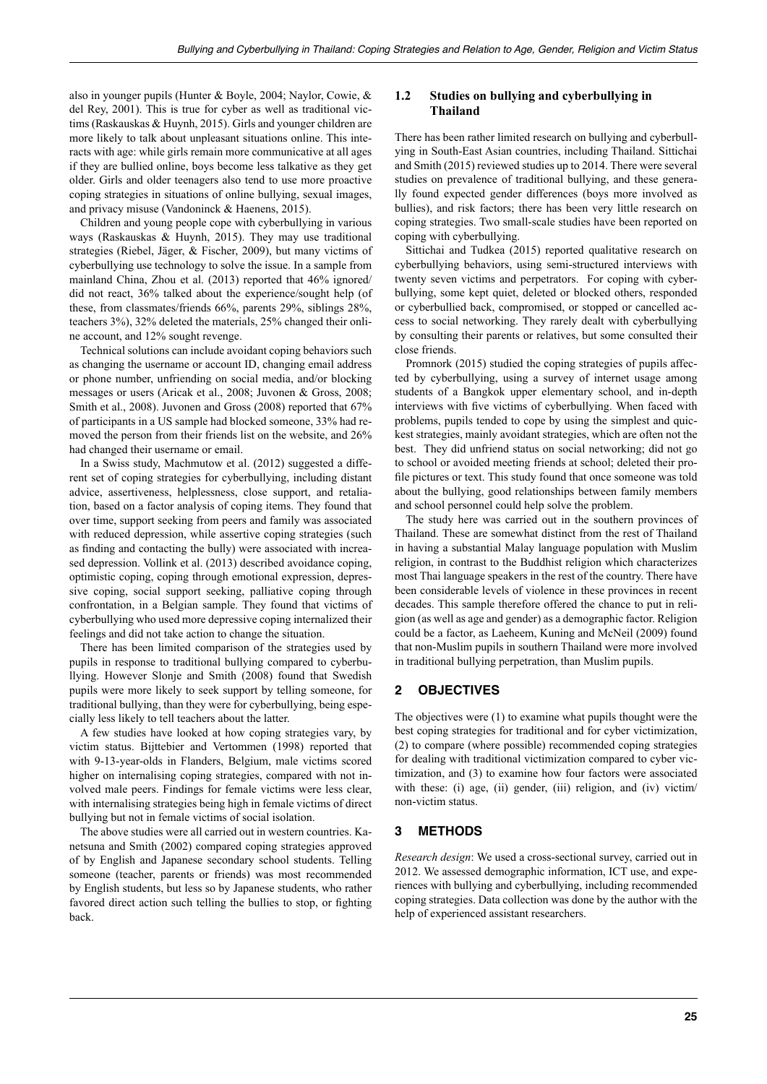also in younger pupils (Hunter & Boyle, 2004; Naylor, Cowie, & del Rey, 2001). This is true for cyber as well as traditional victims (Raskauskas & Huynh, 2015). Girls and younger children are more likely to talk about unpleasant situations online. This interacts with age: while girls remain more communicative at all ages if they are bullied online, boys become less talkative as they get older. Girls and older teenagers also tend to use more proactive coping strategies in situations of online bullying, sexual images, and privacy misuse (Vandoninck & Haenens, 2015).

Children and young people cope with cyberbullying in various ways (Raskauskas & Huynh, 2015). They may use traditional strategies (Riebel, Jäger, & Fischer, 2009), but many victims of cyberbullying use technology to solve the issue. In a sample from mainland China, Zhou et al. (2013) reported that 46% ignored/ did not react, 36% talked about the experience/sought help (of these, from classmates/friends 66%, parents 29%, siblings 28%, teachers 3%), 32% deleted the materials, 25% changed their online account, and 12% sought revenge.

Technical solutions can include avoidant coping behaviors such as changing the username or account ID, changing email address or phone number, unfriending on social media, and/or blocking messages or users (Aricak et al., 2008; Juvonen & Gross, 2008; Smith et al., 2008). Juvonen and Gross (2008) reported that 67% of participants in a US sample had blocked someone, 33% had removed the person from their friends list on the website, and 26% had changed their username or email.

In a Swiss study, Machmutow et al. (2012) suggested a different set of coping strategies for cyberbullying, including distant advice, assertiveness, helplessness, close support, and retaliation, based on a factor analysis of coping items. They found that over time, support seeking from peers and family was associated with reduced depression, while assertive coping strategies (such as finding and contacting the bully) were associated with increased depression. Vollink et al. (2013) described avoidance coping, optimistic coping, coping through emotional expression, depressive coping, social support seeking, palliative coping through confrontation, in a Belgian sample. They found that victims of cyberbullying who used more depressive coping internalized their feelings and did not take action to change the situation.

There has been limited comparison of the strategies used by pupils in response to traditional bullying compared to cyberbullying. However Slonje and Smith (2008) found that Swedish pupils were more likely to seek support by telling someone, for traditional bullying, than they were for cyberbullying, being especially less likely to tell teachers about the latter.

A few studies have looked at how coping strategies vary, by victim status. Bijttebier and Vertommen (1998) reported that with 9-13-year-olds in Flanders, Belgium, male victims scored higher on internalising coping strategies, compared with not involved male peers. Findings for female victims were less clear, with internalising strategies being high in female victims of direct bullying but not in female victims of social isolation.

The above studies were all carried out in western countries. Kanetsuna and Smith (2002) compared coping strategies approved of by English and Japanese secondary school students. Telling someone (teacher, parents or friends) was most recommended by English students, but less so by Japanese students, who rather favored direct action such telling the bullies to stop, or fighting back.

# **1.2 Studies on bullying and cyberbullying in Thailand**

There has been rather limited research on bullying and cyberbullying in South-East Asian countries, including Thailand. Sittichai and Smith (2015) reviewed studies up to 2014. There were several studies on prevalence of traditional bullying, and these generally found expected gender differences (boys more involved as bullies), and risk factors; there has been very little research on coping strategies. Two small-scale studies have been reported on coping with cyberbullying.

Sittichai and Tudkea (2015) reported qualitative research on cyberbullying behaviors, using semi-structured interviews with twenty seven victims and perpetrators. For coping with cyberbullying, some kept quiet, deleted or blocked others, responded or cyberbullied back, compromised, or stopped or cancelled access to social networking. They rarely dealt with cyberbullying by consulting their parents or relatives, but some consulted their close friends.

Promnork (2015) studied the coping strategies of pupils affected by cyberbullying, using a survey of internet usage among students of a Bangkok upper elementary school, and in-depth interviews with five victims of cyberbullying. When faced with problems, pupils tended to cope by using the simplest and quickest strategies, mainly avoidant strategies, which are often not the best. They did unfriend status on social networking; did not go to school or avoided meeting friends at school; deleted their profile pictures or text. This study found that once someone was told about the bullying, good relationships between family members and school personnel could help solve the problem.

The study here was carried out in the southern provinces of Thailand. These are somewhat distinct from the rest of Thailand in having a substantial Malay language population with Muslim religion, in contrast to the Buddhist religion which characterizes most Thai language speakers in the rest of the country. There have been considerable levels of violence in these provinces in recent decades. This sample therefore offered the chance to put in religion (as well as age and gender) as a demographic factor. Religion could be a factor, as Laeheem, Kuning and McNeil (2009) found that non-Muslim pupils in southern Thailand were more involved in traditional bullying perpetration, than Muslim pupils.

# **2 OBJECTIVES**

The objectives were (1) to examine what pupils thought were the best coping strategies for traditional and for cyber victimization, (2) to compare (where possible) recommended coping strategies for dealing with traditional victimization compared to cyber victimization, and (3) to examine how four factors were associated with these: (i) age, (ii) gender, (iii) religion, and (iv) victim/ non-victim status.

# **3 METHODS**

*Research design*: We used a cross-sectional survey, carried out in 2012. We assessed demographic information, ICT use, and experiences with bullying and cyberbullying, including recommended coping strategies. Data collection was done by the author with the help of experienced assistant researchers.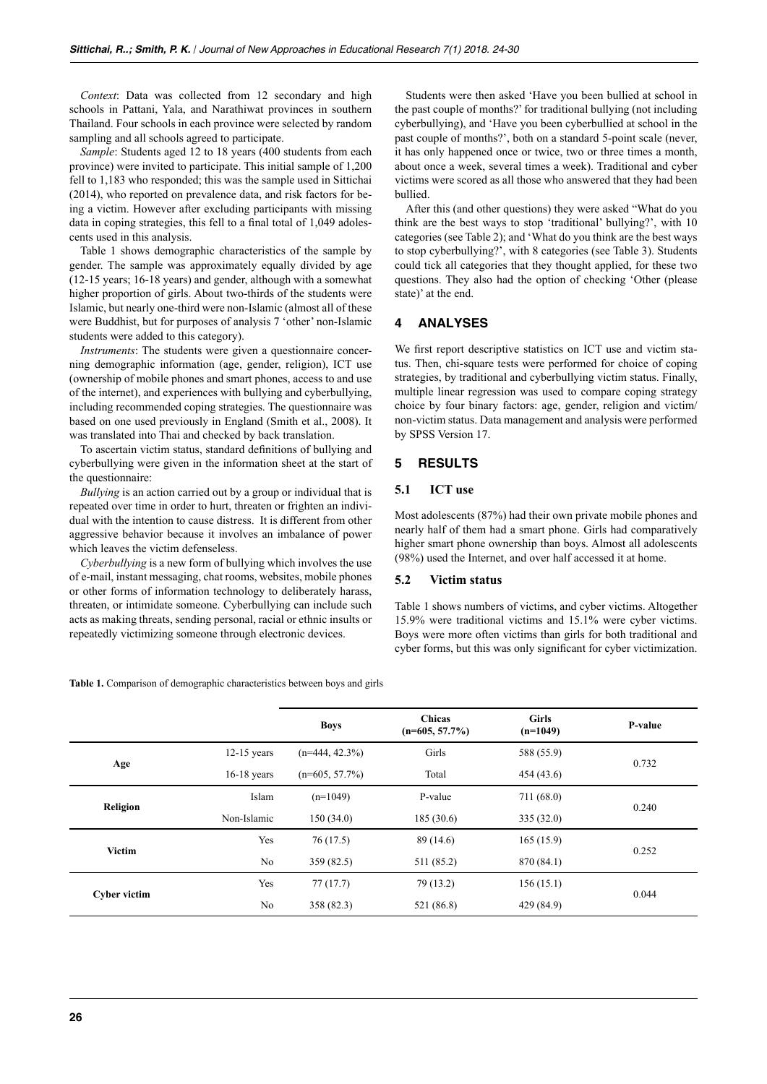*Context*: Data was collected from 12 secondary and high schools in Pattani, Yala, and Narathiwat provinces in southern Thailand. Four schools in each province were selected by random sampling and all schools agreed to participate.

*Sample*: Students aged 12 to 18 years (400 students from each province) were invited to participate. This initial sample of 1,200 fell to 1,183 who responded; this was the sample used in Sittichai (2014), who reported on prevalence data, and risk factors for being a victim. However after excluding participants with missing data in coping strategies, this fell to a final total of 1,049 adolescents used in this analysis.

Table 1 shows demographic characteristics of the sample by gender. The sample was approximately equally divided by age (12-15 years; 16-18 years) and gender, although with a somewhat higher proportion of girls. About two-thirds of the students were Islamic, but nearly one-third were non-Islamic (almost all of these were Buddhist, but for purposes of analysis 7 'other' non-Islamic students were added to this category).

*Instruments*: The students were given a questionnaire concerning demographic information (age, gender, religion), ICT use (ownership of mobile phones and smart phones, access to and use of the internet), and experiences with bullying and cyberbullying, including recommended coping strategies. The questionnaire was based on one used previously in England (Smith et al., 2008). It was translated into Thai and checked by back translation.

To ascertain victim status, standard definitions of bullying and cyberbullying were given in the information sheet at the start of the questionnaire:

*Bullying* is an action carried out by a group or individual that is repeated over time in order to hurt, threaten or frighten an individual with the intention to cause distress. It is different from other aggressive behavior because it involves an imbalance of power which leaves the victim defenseless.

*Cyberbullying* is a new form of bullying which involves the use of e-mail, instant messaging, chat rooms, websites, mobile phones or other forms of information technology to deliberately harass, threaten, or intimidate someone. Cyberbullying can include such acts as making threats, sending personal, racial or ethnic insults or repeatedly victimizing someone through electronic devices.

Students were then asked 'Have you been bullied at school in the past couple of months?' for traditional bullying (not including cyberbullying), and 'Have you been cyberbullied at school in the past couple of months?', both on a standard 5-point scale (never, it has only happened once or twice, two or three times a month, about once a week, several times a week). Traditional and cyber victims were scored as all those who answered that they had been bullied.

After this (and other questions) they were asked "What do you think are the best ways to stop 'traditional' bullying?', with 10 categories (see Table 2); and 'What do you think are the best ways to stop cyberbullying?', with 8 categories (see Table 3). Students could tick all categories that they thought applied, for these two questions. They also had the option of checking 'Other (please state)' at the end.

# **4 ANALYSES**

We first report descriptive statistics on ICT use and victim status. Then, chi-square tests were performed for choice of coping strategies, by traditional and cyberbullying victim status. Finally, multiple linear regression was used to compare coping strategy choice by four binary factors: age, gender, religion and victim/ non-victim status. Data management and analysis were performed by SPSS Version 17.

# **5 RESULTS**

#### **5.1 ICT use**

Most adolescents (87%) had their own private mobile phones and nearly half of them had a smart phone. Girls had comparatively higher smart phone ownership than boys. Almost all adolescents (98%) used the Internet, and over half accessed it at home.

### **5.2 Victim status**

Table 1 shows numbers of victims, and cyber victims. Altogether 15.9% were traditional victims and 15.1% were cyber victims. Boys were more often victims than girls for both traditional and cyber forms, but this was only significant for cyber victimization.

**Table 1.** Comparison of demographic characteristics between boys and girls

|                     |               | <b>Boys</b>       | <b>Chicas</b><br>$(n=605, 57.7\%)$ | <b>Girls</b><br>$(n=1049)$ | P-value |  |
|---------------------|---------------|-------------------|------------------------------------|----------------------------|---------|--|
| Age                 | $12-15$ years | $(n=444, 42.3\%)$ | Girls                              | 588 (55.9)                 | 0.732   |  |
|                     | $16-18$ years | $(n=605, 57.7\%)$ | Total                              | 454(43.6)                  |         |  |
| Religion            | Islam         | $(n=1049)$        | 711(68.0)<br>P-value               |                            | 0.240   |  |
|                     | Non-Islamic   | 150(34.0)         | 185(30.6)                          | 335(32.0)                  |         |  |
| <b>Victim</b>       | Yes           | 76(17.5)          | 89 (14.6)                          | 165(15.9)                  | 0.252   |  |
|                     | No            | 359 (82.5)        | 511 (85.2)                         | 870 (84.1)                 |         |  |
| <b>Cyber victim</b> | Yes           | 77(17.7)          | 79 (13.2)                          | 156(15.1)                  | 0.044   |  |
|                     | No            | 358 (82.3)        | 521 (86.8)                         | 429 (84.9)                 |         |  |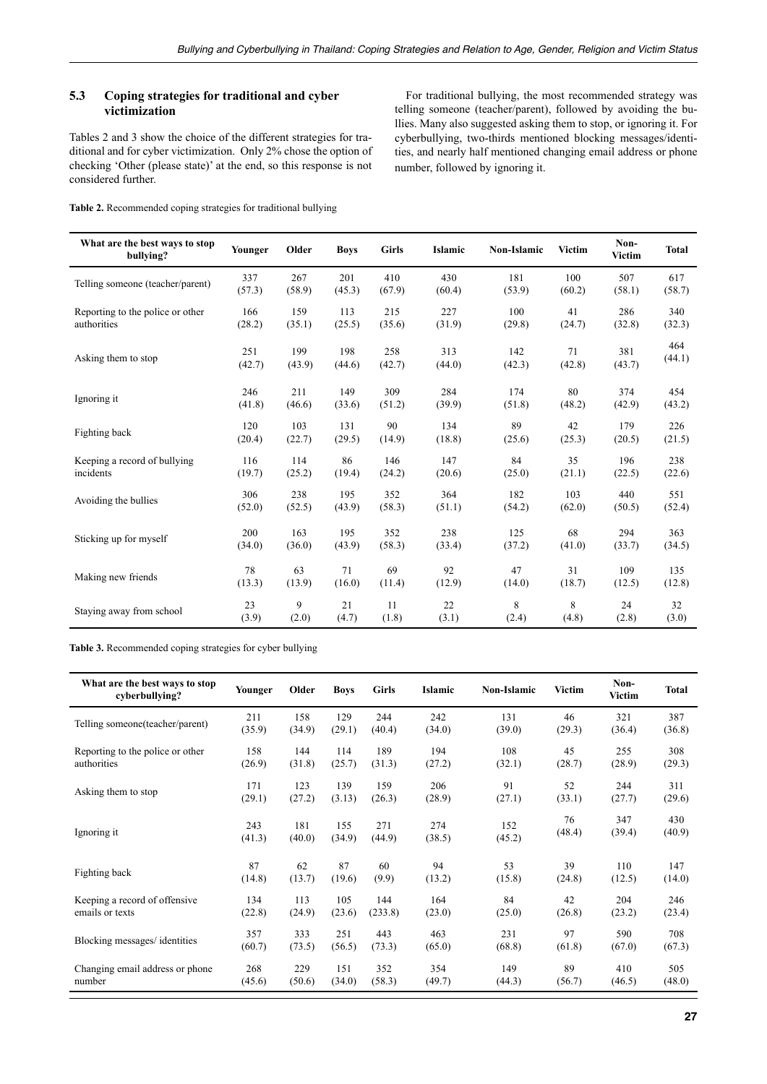# **5.3 Coping strategies for traditional and cyber victimization**

Tables 2 and 3 show the choice of the different strategies for traditional and for cyber victimization. Only 2% chose the option of checking 'Other (please state)' at the end, so this response is not considered further.

For traditional bullying, the most recommended strategy was telling someone (teacher/parent), followed by avoiding the bullies. Many also suggested asking them to stop, or ignoring it. For cyberbullying, two-thirds mentioned blocking messages/identities, and nearly half mentioned changing email address or phone number, followed by ignoring it.

**Table 2.** Recommended coping strategies for traditional bullying

| What are the best ways to stop<br>bullying? | Younger | Older  | <b>Boys</b> | <b>Girls</b> | Islamic | <b>Non-Islamic</b> | Victim | Non-<br>Victim | <b>Total</b> |
|---------------------------------------------|---------|--------|-------------|--------------|---------|--------------------|--------|----------------|--------------|
| Telling someone (teacher/parent)            | 337     | 267    | 201         | 410          | 430     | 181                | 100    | 507            | 617          |
|                                             | (57.3)  | (58.9) | (45.3)      | (67.9)       | (60.4)  | (53.9)             | (60.2) | (58.1)         | (58.7)       |
| Reporting to the police or other            | 166     | 159    | 113         | 215          | 227     | 100                | 41     | 286            | 340          |
| authorities                                 | (28.2)  | (35.1) | (25.5)      | (35.6)       | (31.9)  | (29.8)             | (24.7) | (32.8)         | (32.3)       |
| Asking them to stop                         | 251     | 199    | 198         | 258          | 313     | 142                | 71     | 381            | 464          |
|                                             | (42.7)  | (43.9) | (44.6)      | (42.7)       | (44.0)  | (42.3)             | (42.8) | (43.7)         | (44.1)       |
| Ignoring it                                 | 246     | 211    | 149         | 309          | 284     | 174                | 80     | 374            | 454          |
|                                             | (41.8)  | (46.6) | (33.6)      | (51.2)       | (39.9)  | (51.8)             | (48.2) | (42.9)         | (43.2)       |
| Fighting back                               | 120     | 103    | 131         | 90           | 134     | 89                 | 42     | 179            | 226          |
|                                             | (20.4)  | (22.7) | (29.5)      | (14.9)       | (18.8)  | (25.6)             | (25.3) | (20.5)         | (21.5)       |
| Keeping a record of bullying                | 116     | 114    | 86          | 146          | 147     | 84                 | 35     | 196            | 238          |
| incidents                                   | (19.7)  | (25.2) | (19.4)      | (24.2)       | (20.6)  | (25.0)             | (21.1) | (22.5)         | (22.6)       |
| Avoiding the bullies                        | 306     | 238    | 195         | 352          | 364     | 182                | 103    | 440            | 551          |
|                                             | (52.0)  | (52.5) | (43.9)      | (58.3)       | (51.1)  | (54.2)             | (62.0) | (50.5)         | (52.4)       |
| Sticking up for myself                      | 200     | 163    | 195         | 352          | 238     | 125                | 68     | 294            | 363          |
|                                             | (34.0)  | (36.0) | (43.9)      | (58.3)       | (33.4)  | (37.2)             | (41.0) | (33.7)         | (34.5)       |
| Making new friends                          | 78      | 63     | 71          | 69           | 92      | 47                 | 31     | 109            | 135          |
|                                             | (13.3)  | (13.9) | (16.0)      | (11.4)       | (12.9)  | (14.0)             | (18.7) | (12.5)         | (12.8)       |
| Staying away from school                    | 23      | 9      | 21          | 11           | 22      | 8                  | 8      | 24             | 32           |
|                                             | (3.9)   | (2.0)  | (4.7)       | (1.8)        | (3.1)   | (2.4)              | (4.8)  | (2.8)          | (3.0)        |

**Table 3.** Recommended coping strategies for cyber bullying

| What are the best ways to stop<br>cyberbullying? | Younger | Older  | <b>Boys</b> | <b>Girls</b> | Islamic | <b>Non-Islamic</b> | Victim | Non-<br>Victim | Total  |
|--------------------------------------------------|---------|--------|-------------|--------------|---------|--------------------|--------|----------------|--------|
| Telling someone (teacher/parent)                 | 211     | 158    | 129         | 244          | 242     | 131                | 46     | 321            | 387    |
|                                                  | (35.9)  | (34.9) | (29.1)      | (40.4)       | (34.0)  | (39.0)             | (29.3) | (36.4)         | (36.8) |
| Reporting to the police or other                 | 158     | 144    | 114         | 189          | 194     | 108                | 45     | 255            | 308    |
| authorities                                      | (26.9)  | (31.8) | (25.7)      | (31.3)       | (27.2)  | (32.1)             | (28.7) | (28.9)         | (29.3) |
| Asking them to stop                              | 171     | 123    | 139         | 159          | 206     | 91                 | 52     | 244            | 311    |
|                                                  | (29.1)  | (27.2) | (3.13)      | (26.3)       | (28.9)  | (27.1)             | (33.1) | (27.7)         | (29.6) |
| Ignoring it                                      | 243     | 181    | 155         | 271          | 274     | 152                | 76     | 347            | 430    |
|                                                  | (41.3)  | (40.0) | (34.9)      | (44.9)       | (38.5)  | (45.2)             | (48.4) | (39.4)         | (40.9) |
| Fighting back                                    | 87      | 62     | 87          | 60           | 94      | 53                 | 39     | 110            | 147    |
|                                                  | (14.8)  | (13.7) | (19.6)      | (9.9)        | (13.2)  | (15.8)             | (24.8) | (12.5)         | (14.0) |
| Keeping a record of offensive                    | 134     | 113    | 105         | 144          | 164     | 84                 | 42     | 204            | 246    |
| emails or texts                                  | (22.8)  | (24.9) | (23.6)      | (233.8)      | (23.0)  | (25.0)             | (26.8) | (23.2)         | (23.4) |
| Blocking messages/ identities                    | 357     | 333    | 251         | 443          | 463     | 231                | 97     | 590            | 708    |
|                                                  | (60.7)  | (73.5) | (56.5)      | (73.3)       | (65.0)  | (68.8)             | (61.8) | (67.0)         | (67.3) |
| Changing email address or phone                  | 268     | 229    | 151         | 352          | 354     | 149                | 89     | 410            | 505    |
| number                                           | (45.6)  | (50.6) | (34.0)      | (58.3)       | (49.7)  | (44.3)             | (56.7) | (46.5)         | (48.0) |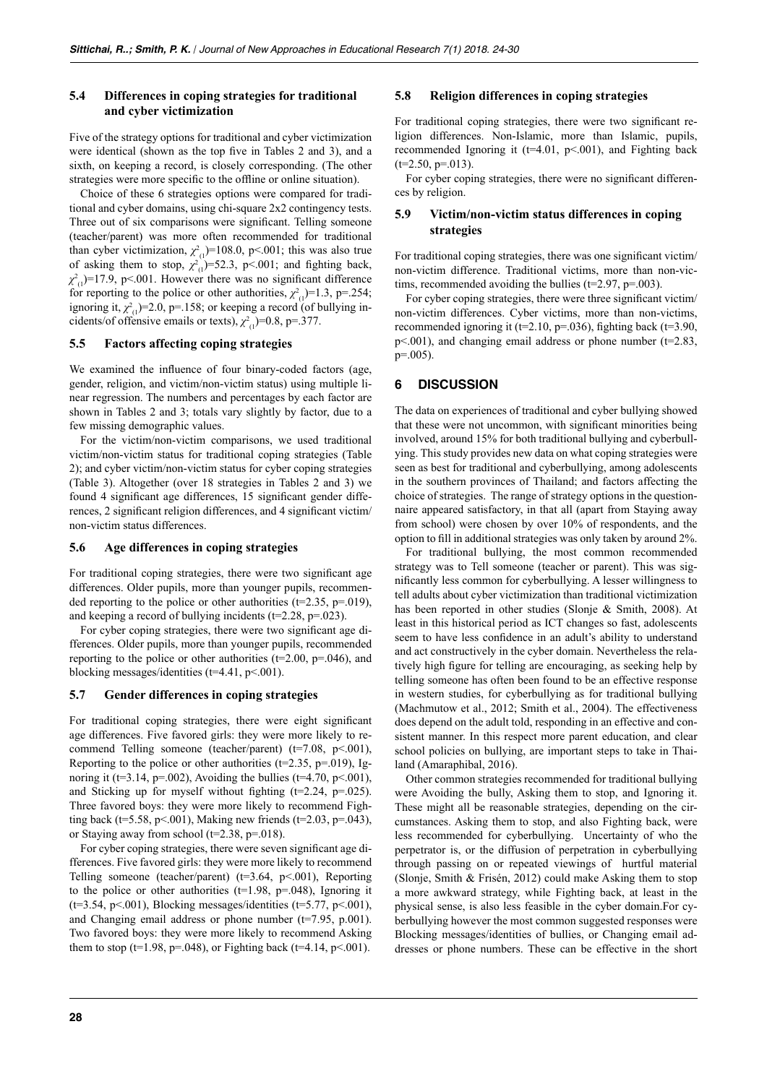## **5.4 Differences in coping strategies for traditional and cyber victimization**

Five of the strategy options for traditional and cyber victimization were identical (shown as the top five in Tables 2 and 3), and a sixth, on keeping a record, is closely corresponding. (The other strategies were more specific to the offline or online situation).

Choice of these 6 strategies options were compared for traditional and cyber domains, using chi-square 2x2 contingency tests. Three out of six comparisons were significant. Telling someone (teacher/parent) was more often recommended for traditional than cyber victimization,  $\chi^2_{(1)}$ =108.0, p<.001; this was also true of asking them to stop,  $\chi^2_{(1)}$ =52.3, p<.001; and fighting back,  $\chi^2_{(1)}$ =17.9, p<.001. However there was no significant difference for reporting to the police or other authorities,  $\chi^2_{(1)}$ =1.3, p=.254; ignoring it,  $\chi^2_{(1)}$ =2.0, p=.158; or keeping a record (of bullying incidents/of offensive emails or texts),  $\chi^2_{(1)}$ =0.8, p=.377.

### **5.5 Factors affecting coping strategies**

We examined the influence of four binary-coded factors (age, gender, religion, and victim/non-victim status) using multiple linear regression. The numbers and percentages by each factor are shown in Tables 2 and 3; totals vary slightly by factor, due to a few missing demographic values.

For the victim/non-victim comparisons, we used traditional victim/non-victim status for traditional coping strategies (Table 2); and cyber victim/non-victim status for cyber coping strategies (Table 3). Altogether (over 18 strategies in Tables 2 and 3) we found 4 significant age differences, 15 significant gender differences, 2 significant religion differences, and 4 significant victim/ non-victim status differences.

#### **5.6 Age differences in coping strategies**

For traditional coping strategies, there were two significant age differences. Older pupils, more than younger pupils, recommended reporting to the police or other authorities ( $t=2.35$ ,  $p=.019$ ), and keeping a record of bullying incidents ( $t=2.28$ ,  $p=.023$ ).

For cyber coping strategies, there were two significant age differences. Older pupils, more than younger pupils, recommended reporting to the police or other authorities  $(t=2.00, p=.046)$ , and blocking messages/identities (t=4.41, p<.001).

#### **5.7 Gender differences in coping strategies**

For traditional coping strategies, there were eight significant age differences. Five favored girls: they were more likely to recommend Telling someone (teacher/parent) (t=7.08, p <. 001), Reporting to the police or other authorities ( $t=2.35$ ,  $p=.019$ ), Ignoring it (t=3.14, p=.002), Avoiding the bullies (t=4.70, p<.001), and Sticking up for myself without fighting  $(t=2.24, p=.025)$ . Three favored boys: they were more likely to recommend Fighting back (t=5.58, p<.001), Making new friends (t=2.03, p=.043), or Staying away from school ( $t=2.38$ ,  $p=.018$ ).

For cyber coping strategies, there were seven significant age differences. Five favored girls: they were more likely to recommend Telling someone (teacher/parent) ( $t=3.64$ ,  $p<.001$ ), Reporting to the police or other authorities ( $t=1.98$ ,  $p=0.048$ ), Ignoring it  $(t=3.54, p<.001)$ , Blocking messages/identities  $(t=5.77, p<.001)$ , and Changing email address or phone number (t=7.95, p.001). Two favored boys: they were more likely to recommend Asking them to stop (t=1.98, p=.048), or Fighting back (t=4.14, p<.001).

## **5.8 Religion differences in coping strategies**

For traditional coping strategies, there were two significant religion differences. Non-Islamic, more than Islamic, pupils, recommended Ignoring it ( $t=4.01$ ,  $p<.001$ ), and Fighting back  $(t=2.50, p=.013)$ .

For cyber coping strategies, there were no significant differences by religion.

#### **5.9 Victim/non-victim status differences in coping strategies**

For traditional coping strategies, there was one significant victim/ non-victim difference. Traditional victims, more than non-victims, recommended avoiding the bullies ( $t=2.97$ ,  $p=.003$ ).

For cyber coping strategies, there were three significant victim/ non-victim differences. Cyber victims, more than non-victims, recommended ignoring it ( $t=2.10$ ,  $p=.036$ ), fighting back ( $t=3.90$ ,  $p$ <.001), and changing email address or phone number ( $t=2.83$ , p=.005).

### **6 DISCUSSION**

The data on experiences of traditional and cyber bullying showed that these were not uncommon, with significant minorities being involved, around 15% for both traditional bullying and cyberbullying. This study provides new data on what coping strategies were seen as best for traditional and cyberbullying, among adolescents in the southern provinces of Thailand; and factors affecting the choice of strategies. The range of strategy options in the questionnaire appeared satisfactory, in that all (apart from Staying away from school) were chosen by over 10% of respondents, and the option to fill in additional strategies was only taken by around 2%.

For traditional bullying, the most common recommended strategy was to Tell someone (teacher or parent). This was significantly less common for cyberbullying. A lesser willingness to tell adults about cyber victimization than traditional victimization has been reported in other studies (Slonje & Smith, 2008). At least in this historical period as ICT changes so fast, adolescents seem to have less confidence in an adult's ability to understand and act constructively in the cyber domain. Nevertheless the relatively high figure for telling are encouraging, as seeking help by telling someone has often been found to be an effective response in western studies, for cyberbullying as for traditional bullying (Machmutow et al., 2012; Smith et al., 2004). The effectiveness does depend on the adult told, responding in an effective and consistent manner. In this respect more parent education, and clear school policies on bullying, are important steps to take in Thailand (Amaraphibal, 2016).

Other common strategies recommended for traditional bullying were Avoiding the bully, Asking them to stop, and Ignoring it. These might all be reasonable strategies, depending on the circumstances. Asking them to stop, and also Fighting back, were less recommended for cyberbullying. Uncertainty of who the perpetrator is, or the diffusion of perpetration in cyberbullying through passing on or repeated viewings of hurtful material (Slonje, Smith & Frisén, 2012) could make Asking them to stop a more awkward strategy, while Fighting back, at least in the physical sense, is also less feasible in the cyber domain.For cyberbullying however the most common suggested responses were Blocking messages/identities of bullies, or Changing email addresses or phone numbers. These can be effective in the short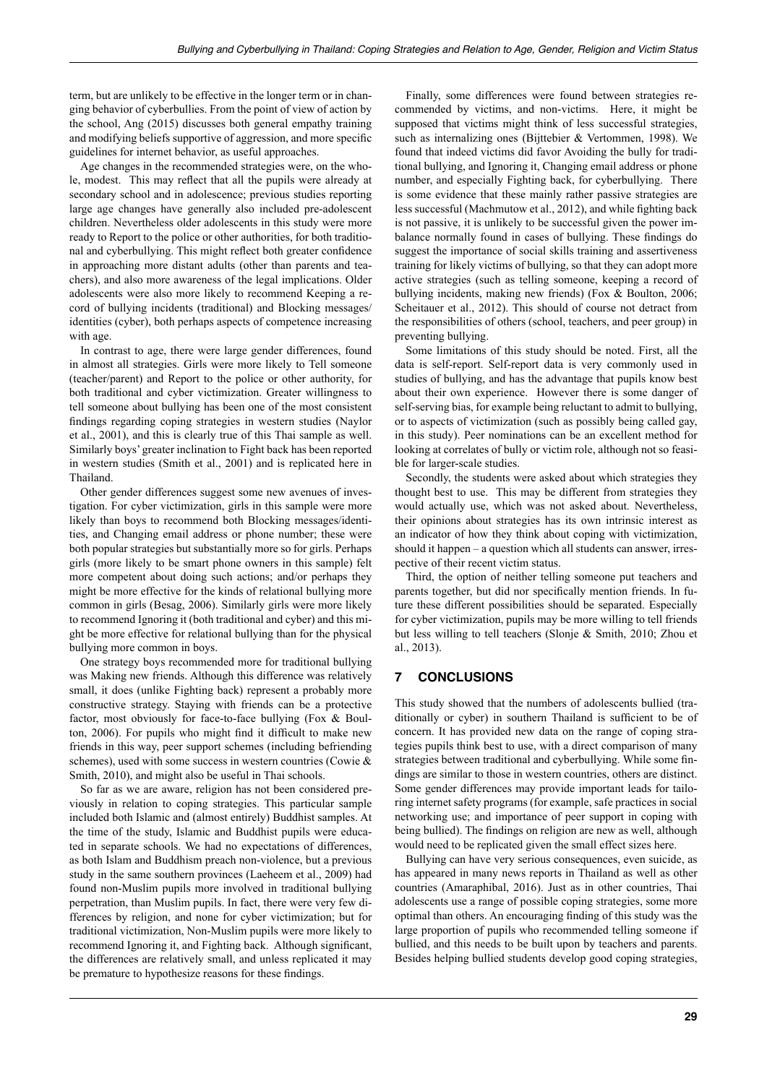term, but are unlikely to be effective in the longer term or in changing behavior of cyberbullies. From the point of view of action by the school, Ang (2015) discusses both general empathy training and modifying beliefs supportive of aggression, and more specific guidelines for internet behavior, as useful approaches.

Age changes in the recommended strategies were, on the whole, modest. This may reflect that all the pupils were already at secondary school and in adolescence; previous studies reporting large age changes have generally also included pre-adolescent children. Nevertheless older adolescents in this study were more ready to Report to the police or other authorities, for both traditional and cyberbullying. This might reflect both greater confidence in approaching more distant adults (other than parents and teachers), and also more awareness of the legal implications. Older adolescents were also more likely to recommend Keeping a record of bullying incidents (traditional) and Blocking messages/ identities (cyber), both perhaps aspects of competence increasing with age.

In contrast to age, there were large gender differences, found in almost all strategies. Girls were more likely to Tell someone (teacher/parent) and Report to the police or other authority, for both traditional and cyber victimization. Greater willingness to tell someone about bullying has been one of the most consistent findings regarding coping strategies in western studies (Naylor et al., 2001), and this is clearly true of this Thai sample as well. Similarly boys' greater inclination to Fight back has been reported in western studies (Smith et al., 2001) and is replicated here in Thailand.

Other gender differences suggest some new avenues of investigation. For cyber victimization, girls in this sample were more likely than boys to recommend both Blocking messages/identities, and Changing email address or phone number; these were both popular strategies but substantially more so for girls. Perhaps girls (more likely to be smart phone owners in this sample) felt more competent about doing such actions; and/or perhaps they might be more effective for the kinds of relational bullying more common in girls (Besag, 2006). Similarly girls were more likely to recommend Ignoring it (both traditional and cyber) and this might be more effective for relational bullying than for the physical bullying more common in boys.

One strategy boys recommended more for traditional bullying was Making new friends. Although this difference was relatively small, it does (unlike Fighting back) represent a probably more constructive strategy. Staying with friends can be a protective factor, most obviously for face-to-face bullying (Fox & Boulton, 2006). For pupils who might find it difficult to make new friends in this way, peer support schemes (including befriending schemes), used with some success in western countries (Cowie & Smith, 2010), and might also be useful in Thai schools.

So far as we are aware, religion has not been considered previously in relation to coping strategies. This particular sample included both Islamic and (almost entirely) Buddhist samples. At the time of the study, Islamic and Buddhist pupils were educated in separate schools. We had no expectations of differences, as both Islam and Buddhism preach non-violence, but a previous study in the same southern provinces (Laeheem et al., 2009) had found non-Muslim pupils more involved in traditional bullying perpetration, than Muslim pupils. In fact, there were very few differences by religion, and none for cyber victimization; but for traditional victimization, Non-Muslim pupils were more likely to recommend Ignoring it, and Fighting back. Although significant, the differences are relatively small, and unless replicated it may be premature to hypothesize reasons for these findings.

Finally, some differences were found between strategies recommended by victims, and non-victims. Here, it might be supposed that victims might think of less successful strategies, such as internalizing ones (Bijttebier & Vertommen, 1998). We found that indeed victims did favor Avoiding the bully for traditional bullying, and Ignoring it, Changing email address or phone number, and especially Fighting back, for cyberbullying. There is some evidence that these mainly rather passive strategies are less successful (Machmutow et al., 2012), and while fighting back is not passive, it is unlikely to be successful given the power imbalance normally found in cases of bullying. These findings do suggest the importance of social skills training and assertiveness training for likely victims of bullying, so that they can adopt more active strategies (such as telling someone, keeping a record of bullying incidents, making new friends) (Fox & Boulton, 2006; Scheitauer et al., 2012). This should of course not detract from the responsibilities of others (school, teachers, and peer group) in preventing bullying.

Some limitations of this study should be noted. First, all the data is self-report. Self-report data is very commonly used in studies of bullying, and has the advantage that pupils know best about their own experience. However there is some danger of self-serving bias, for example being reluctant to admit to bullying, or to aspects of victimization (such as possibly being called gay, in this study). Peer nominations can be an excellent method for looking at correlates of bully or victim role, although not so feasible for larger-scale studies.

Secondly, the students were asked about which strategies they thought best to use. This may be different from strategies they would actually use, which was not asked about. Nevertheless, their opinions about strategies has its own intrinsic interest as an indicator of how they think about coping with victimization, should it happen – a question which all students can answer, irrespective of their recent victim status.

Third, the option of neither telling someone put teachers and parents together, but did nor specifically mention friends. In future these different possibilities should be separated. Especially for cyber victimization, pupils may be more willing to tell friends but less willing to tell teachers (Slonje & Smith, 2010; Zhou et al., 2013).

## **7 CONCLUSIONS**

This study showed that the numbers of adolescents bullied (traditionally or cyber) in southern Thailand is sufficient to be of concern. It has provided new data on the range of coping strategies pupils think best to use, with a direct comparison of many strategies between traditional and cyberbullying. While some findings are similar to those in western countries, others are distinct. Some gender differences may provide important leads for tailoring internet safety programs (for example, safe practices in social networking use; and importance of peer support in coping with being bullied). The findings on religion are new as well, although would need to be replicated given the small effect sizes here.

Bullying can have very serious consequences, even suicide, as has appeared in many news reports in Thailand as well as other countries (Amaraphibal, 2016). Just as in other countries, Thai adolescents use a range of possible coping strategies, some more optimal than others. An encouraging finding of this study was the large proportion of pupils who recommended telling someone if bullied, and this needs to be built upon by teachers and parents. Besides helping bullied students develop good coping strategies,